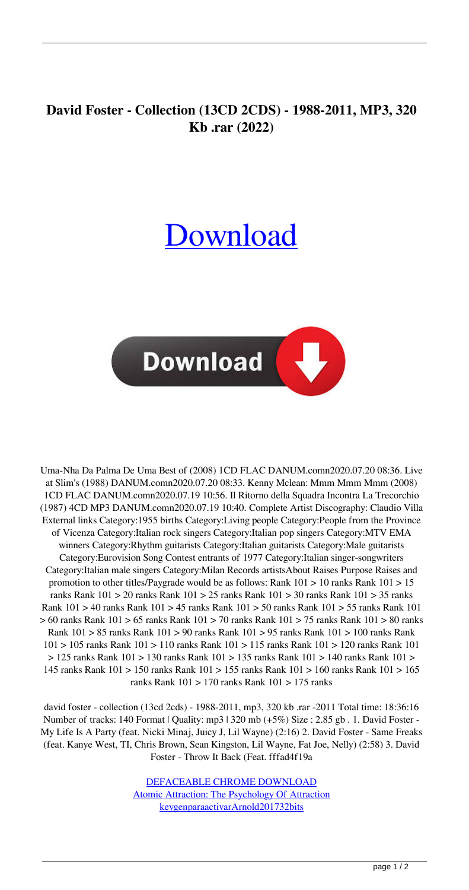## **David Foster - Collection (13CD 2CDS) - 1988-2011, MP3, 320 Kb .rar (2022)**

## [Download](http://evacdir.com/RGF2aWQgRm9zdGVyIC0gQ29sbGVjdGlvbiAoMTNDRCAyQ0RTKSAtIDE5ODgtMjAxMSwgTVAzLCAzMjAgS2IgLnJhcgRGF/allume/collapsible.riles&trattorias=healthclub&outcrop=ZG93bmxvYWR8RE83TVcxNE5YeDhNVFkxTWpRMk16QTFNSHg4TWpVM05IeDhLRTBwSUhKbFlXUXRZbXh2WnlCYlJtRnpkQ0JIUlU1ZA)



Uma-Nha Da Palma De Uma Best of (2008) 1CD FLAC DANUM.comn2020.07.20 08:36. Live at Slim's (1988) DANUM.comn2020.07.20 08:33. Kenny Mclean: Mmm Mmm Mmm (2008) 1CD FLAC DANUM.comn2020.07.19 10:56. Il Ritorno della Squadra Incontra La Trecorchio (1987) 4CD MP3 DANUM.comn2020.07.19 10:40. Complete Artist Discography: Claudio Villa External links Category:1955 births Category:Living people Category:People from the Province of Vicenza Category:Italian rock singers Category:Italian pop singers Category:MTV EMA winners Category:Rhythm guitarists Category:Italian guitarists Category:Male guitarists Category:Eurovision Song Contest entrants of 1977 Category:Italian singer-songwriters Category:Italian male singers Category:Milan Records artistsAbout Raises Purpose Raises and promotion to other titles/Paygrade would be as follows: Rank 101 > 10 ranks Rank 101 > 15 ranks Rank 101 > 20 ranks Rank 101 > 25 ranks Rank 101 > 30 ranks Rank 101 > 35 ranks Rank 101 > 40 ranks Rank 101 > 45 ranks Rank 101 > 50 ranks Rank 101 > 55 ranks Rank 101 > 60 ranks Rank 101 > 65 ranks Rank 101 > 70 ranks Rank 101 > 75 ranks Rank 101 > 80 ranks Rank 101 > 85 ranks Rank 101 > 90 ranks Rank 101 > 95 ranks Rank 101 > 100 ranks Rank 101 > 105 ranks Rank 101 > 110 ranks Rank 101 > 115 ranks Rank 101 > 120 ranks Rank 101 > 125 ranks Rank 101 > 130 ranks Rank 101 > 135 ranks Rank 101 > 140 ranks Rank 101 > 145 ranks Rank 101 > 150 ranks Rank 101 > 155 ranks Rank 101 > 160 ranks Rank 101 > 165 ranks Rank 101 > 170 ranks Rank 101 > 175 ranks

david foster - collection (13cd 2cds) - 1988-2011, mp3, 320 kb .rar -2011 Total time: 18:36:16 Number of tracks: 140 Format | Quality: mp3 | 320 mb (+5%) Size : 2.85 gb . 1. David Foster - My Life Is A Party (feat. Nicki Minaj, Juicy J, Lil Wayne) (2:16) 2. David Foster - Same Freaks (feat. Kanye West, TI, Chris Brown, Sean Kingston, Lil Wayne, Fat Joe, Nelly) (2:58) 3. David Foster - Throw It Back (Feat. fffad4f19a

> [DEFACEABLE CHROME DOWNLOAD](https://telebook.app/upload/files/2022/05/nDxS41naCbSi3q9pPNFO_13_185b2450fdf4d49b4659b84482312b30_file.pdf) [Atomic Attraction: The Psychology Of Attraction](https://thegoodbook.network/upload/files/2022/05/8NhsPw7P8yp4lOpjfpVD_13_185b2450fdf4d49b4659b84482312b30_file.pdf) [keygenparaactivarArnold201732bits](https://www.cheddrbox.com/upload/files/2022/05/WYEQuJd17sR3j1XixzT7_13_2ecb7de21d5b46b1e076312e681f80d2_file.pdf)